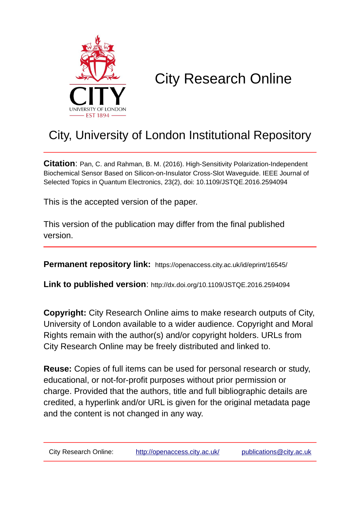

# City Research Online

### City, University of London Institutional Repository

**Citation**: Pan, C. and Rahman, B. M. (2016). High-Sensitivity Polarization-Independent Biochemical Sensor Based on Silicon-on-Insulator Cross-Slot Waveguide. IEEE Journal of Selected Topics in Quantum Electronics, 23(2), doi: 10.1109/JSTQE.2016.2594094

This is the accepted version of the paper.

This version of the publication may differ from the final published version.

**Permanent repository link:** https://openaccess.city.ac.uk/id/eprint/16545/

**Link to published version**: http://dx.doi.org/10.1109/JSTQE.2016.2594094

**Copyright:** City Research Online aims to make research outputs of City, University of London available to a wider audience. Copyright and Moral Rights remain with the author(s) and/or copyright holders. URLs from City Research Online may be freely distributed and linked to.

**Reuse:** Copies of full items can be used for personal research or study, educational, or not-for-profit purposes without prior permission or charge. Provided that the authors, title and full bibliographic details are credited, a hyperlink and/or URL is given for the original metadata page and the content is not changed in any way.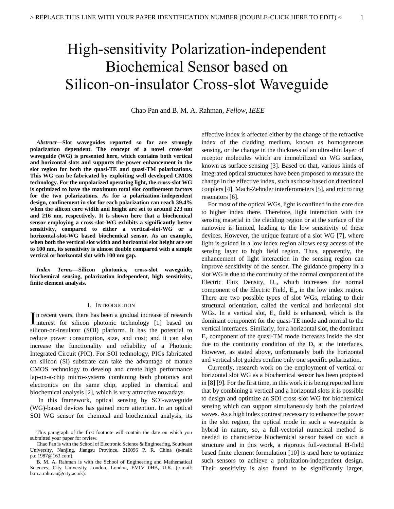## High-sensitivity Polarization-independent Biochemical Sensor based on Silicon-on-insulator Cross-slot Waveguide

Chao Pan and B. M. A. Rahman, *Fellow, IEEE*

*Abstract***—Slot waveguides reported so far are strongly polarization dependent. The concept of a novel cross-slot waveguide (WG) is presented here, which contains both vertical and horizontal slots and supports the power enhancement in the slot region for both the quasi-TE and quasi-TM polarizations. This WG can be fabricated by exploiting well developed CMOS technology. For the unpolarized operating light, the cross-slot WG is optimized to have the maximum total slot confinement factors for the two polarizations. As for a polarization-independent design, confinement in slot for each polarization can reach 39.4% when the silicon core width and height are set to around 223 nm and 216 nm, respectively. It is shown here that a biochemical sensor employing a cross-slot-WG exhibits a significantly better sensitivity, compared to either a vertical-slot-WG or a horizontal-slot-WG based biochemical sensor. As an example, when both the vertical slot width and horizontal slot height are set to 100 nm, its sensitivity is almost double compared with a simple vertical or horizontal slot with 100 nm gap.**

*Index Terms***—Silicon photonics, cross-slot waveguide, biochemical sensing, polarization independent, high sensitivity, finite element analysis.**

#### I. INTRODUCTION

n recent years, there has been a gradual increase of research In recent years, there has been a gradual increase of research<br>
linterest for silicon photonic technology [1] based on silicon-on-insulator (SOI) platform. It has the potential to reduce power consumption, size, and cost; and it can also increase the functionality and reliability of a Photonic Integrated Circuit (PIC). For SOI technology, PICs fabricated on silicon (Si) substrate can take the advantage of mature CMOS technology to develop and create high performance lap-on-a-chip micro-systems combining both photonics and electronics on the same chip, applied in chemical and biochemical analysis [2], which is very attractive nowadays.

In this framework, optical sensing by SOI-waveguide (WG)-based devices has gained more attention. In an optical SOI WG sensor for chemical and biochemical analysis, its effective index is affected either by the change of the refractive index of the cladding medium, known as homogeneous sensing, or the change in the thickness of an ultra-thin layer of receptor molecules which are immobilized on WG surface, known as surface sensing [3]. Based on that, various kinds of integrated optical structures have been proposed to measure the change in the effective index, such as those based on directional couplers [4], Mach-Zehnder interferometers [5], and micro ring resonators [6].

For most of the optical WGs, light is confined in the core due to higher index there. Therefore, light interaction with the sensing material in the cladding region or at the surface of the nanowire is limited, leading to the low sensitivity of these devices. However, the unique feature of a slot WG [7], where light is guided in a low index region allows easy access of the sensing layer to high field region. Thus, apparently, the enhancement of light interaction in the sensing region can improve sensitivity of the sensor. The guidance property in a slot WG is due to the continuity of the normal component of the Electric Flux Density,  $D_n$ , which increases the normal component of the Electric Field,  $E_n$ , in the low index region. There are two possible types of slot WGs, relating to their structural orientation, called the vertical and horizontal slot WGs. In a vertical slot,  $E_x$  field is enhanced, which is the dominant component for the quasi-TE mode and normal to the vertical interfaces. Similarly, for a horizontal slot, the dominant  $E<sub>v</sub>$  component of the quasi-TM mode increases inside the slot due to the continuity condition of the  $D_y$  at the interfaces. However, as stated above, unfortunately both the horizontal and vertical slot guides confine only one specific polarization.

Currently, research work on the employment of vertical or horizontal slot WG as a biochemical sensor has been proposed in [8] [9]. For the first time, in this work it is being reported here that by combining a vertical and a horizontal slots it is possible to design and optimize an SOI cross-slot WG for biochemical sensing which can support simultaneously both the polarized waves. As a high index contrast necessary to enhance the power in the slot region, the optical mode in such a waveguide is hybrid in nature, so, a full-vectorial numerical method is needed to characterize biochemical sensor based on such a structure and in this work, a rigorous full-vectorial **H**-field based finite element formulation [10] is used here to optimize such sensors to achieve a polarization-independent design. Their sensitivity is also found to be significantly larger,

This paragraph of the first footnote will contain the date on which you submitted your paper for review.

Chao Pan is with the School of Electronic Science & Engineering, Southeast University, Nanjing, Jiangsu Province, 210096 P. R. China (e-mail: p.c.1987@163.com).

B. M. A. Rahman is with the School of Engineering and Mathematical Sciences, City University London, London, EV1V 0HB, U.K. (e-mail: b.m.a.rahman@city.ac.uk).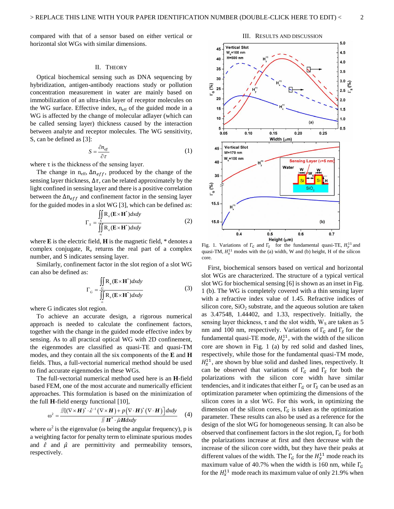compared with that of a sensor based on either vertical or horizontal slot WGs with similar dimensions.

#### II. THEORY

Optical biochemical sensing such as DNA sequencing by hybridization, antigen-antibody reactions study or pollution concentration measurement in water are mainly based on immobilization of an ultra-thin layer of receptor molecules on the WG surface. Effective index,  $n_{\text{eff}}$  of the guided mode in a WG is affected by the change of molecular adlayer (which can be called sensing layer) thickness caused by the interaction between analyte and receptor molecules. The WG sensitivity, S, can be defined as [3]:

$$
S = \frac{\partial n_{\text{eff}}}{\partial \tau} \tag{1}
$$

where  $\tau$  is the thickness of the sensing layer.

The change in  $n_{\text{eff}}$ ,  $\Delta n_{eff}$ , produced by the change of the sensing layer thickness,  $\Delta \tau$ , can be related approximately by the light confined in sensing layer and there is a positive correlation between the  $\Delta n_{eff}$  and confinement factor in the sensing layer for the guided modes in a slot WG [3], which can be defined as:

$$
\Gamma_{s} = \frac{\iint\limits_{s} \mathbf{R}_{e} (\mathbf{E} \times \mathbf{H}^{*}) dxdy}{\iint\limits_{\infty} \mathbf{R}_{e} (\mathbf{E} \times \mathbf{H}^{*}) dxdy}
$$
(2)

where  $\bf{E}$  is the electric field,  $\bf{H}$  is the magnetic field,  $*$  denotes a complex conjugate,  $R_e$  returns the real part of a complex number, and S indicates sensing layer.

Similarly, confinement factor in the slot region of a slot WG can also be defined as:

$$
\Gamma_G = \frac{\iint\limits_{G} \mathbf{R}_e (\mathbf{E} \times \mathbf{H}^*) dx dy}{\iint\limits_{\mathcal{R}} \mathbf{R}_e (\mathbf{E} \times \mathbf{H}^*) dx dy}
$$
(3)

where G indicates slot region.

To achieve an accurate design, a rigorous numerical approach is needed to calculate the confinement factors, together with the change in the guided mode effective index by sensing. As to all practical optical WG with 2D confinement, the eigenmodes are classified as quasi-TE and quasi-TM modes, and they contain all the six components of the **E** and **H** fields. Thus, a full-vectorial numerical method should be used to find accurate eigenmodes in these WGs.

The full-vectorial numerical method used here is an **H**-field based FEM, one of the most accurate and numerically efficient approaches. This formulation is based on the minimization of

the full **H**-field energy functional [10],  
\n
$$
\omega^2 = \frac{\iint [(\nabla \times \mathbf{H})^* \cdot \hat{\varepsilon}^{-1} (\nabla \times \mathbf{H}) + p(\nabla \cdot \mathbf{H})^* (\nabla \cdot \mathbf{H})] dxdy}{\iint \mathbf{H}^* \cdot \hat{\mu} \mathbf{H} dxdy}
$$
(4)

where  $\omega^2$  is the eigenvalue ( $\omega$  being the angular frequency), p is a weighting factor for penalty term to eliminate spurious modes and  $\hat{\varepsilon}$  and  $\hat{\mu}$  are permittivity and permeability tensors, respectively.



Fig. 1. Variations of  $\Gamma_G$  and  $\Gamma_S$  for the fundamental quasi-TE,  $H_v^{11}$  and quasi-TM,  $H<sub>x</sub><sup>11</sup>$  modes with the (a) width, W and (b) height, H of the silicon core.

First, biochemical sensors based on vertical and horizontal slot WGs are characterized. The structure of a typical vertical slot WG for biochemical sensing [6] is shown as an inset in Fig. 1 (b). The WG is completely covered with a thin sensing layer with a refractive index value of 1.45. Refractive indices of silicon core,  $SiO<sub>2</sub>$  substrate, and the aqueous solution are taken as 3.47548, 1.44402, and 1.33, respectively. Initially, the sensing layer thickness,  $\tau$  and the slot width, W<sub>S</sub> are taken as 5 nm and 100 nm, respectively. Variations of  $\Gamma_G$  and  $\Gamma_S$  for the fundamental quasi-TE mode,  $H_v^{11}$ , with the width of the silicon core are shown in Fig. 1 (a) by red solid and dashed lines, respectively, while those for the fundamental quasi-TM mode,  $H_{x}^{11}$ , are shown by blue solid and dashed lines, respectively. It can be observed that variations of  $\Gamma$ <sup>*c*</sup> and  $\Gamma$ <sup>s</sup> for both the polarizations with the silicon core width have similar tendencies, and it indicates that either  $\Gamma_G$  or  $\Gamma_S$  can be used as an optimization parameter when optimizing the dimensions of the silicon cores in a slot WG. For this work, in optimizing the dimension of the silicon cores,  $\Gamma_G$  is taken as the optimization parameter. These results can also be used as a reference for the design of the slot WG for homogeneous sensing. It can also be observed that confinement factors in the slot region,  $\Gamma_G$  for both the polarizations increase at first and then decrease with the increase of the silicon core width, but they have their peaks at different values of the width. The  $\Gamma_G$  for the  $H_v^{11}$  mode reach its maximum value of 40.7% when the width is 160 nm, while  $\Gamma_G$ for the  $H_{\rm x}^{11}$  mode reach its maximum value of only 21.9% when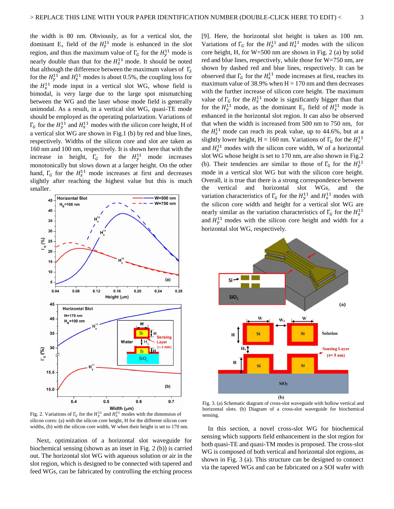the width is 80 nm. Obviously, as for a vertical slot, the dominant  $E_x$  field of the  $H_y^{11}$  mode is enhanced in the slot region, and thus the maximum value of  $\Gamma$ <sup>6</sup> for the  $H_v^{11}$  mode is nearly double than that for the  $H^{11}_x$  mode. It should be noted that although the difference between the maximum values of  $\Gamma_s$ for the  $H_v^{11}$  and  $H_x^{11}$  modes is about 0.5%, the coupling loss for the  $H_{x}^{11}$  mode input in a vertical slot WG, whose field is bimodal, is very large due to the large spot mismatching between the WG and the laser whose mode field is generally unimodal. As a result, in a vertical slot WG, quasi-TE mode should be employed as the operating polarization. Variations of  $\Gamma$ <sup>6</sup> for the  $H_v^{11}$  and  $H_x^{11}$  modes with the silicon core height, H of a vertical slot WG are shown in Fig.1 (b) by red and blue lines, respectively. Widths of the silicon core and slot are taken as 160 nm and 100 nm, respectively. It is shown here that with the increase in height,  $\Gamma_G$  for the  $H_v^{11}$  mode increases monotonically but slows down at a larger height. On the other hand,  $\Gamma$ <sup>6</sup> for the  $H^{11}_x$  mode increases at first and decreases slightly after reaching the highest value but this is much smaller.



Fig. 2. Variations of  $\Gamma_G$  for the  $H_v^{11}$  and  $H_x^{11}$  modes with the dimension of silicon cores: (a) with the silicon core height, H for the different silicon core widths, (b) with the silicon core width, W when their height is set to 170 nm.

Next, optimization of a horizontal slot waveguide for biochemical sensing (shown as an inset in Fig. 2 (b)) is carried out. The horizontal slot WG with aqueous solution or air in the slot region, which is designed to be connected with tapered and feed WGs, can be fabricated by controlling the etching process

[9]. Here, the horizontal slot height is taken as 100 nm. Variations of  $\Gamma_G$  for the  $H_v^{11}$  and  $H_x^{11}$  modes with the silicon core height, H, for  $W = 500$  nm are shown in Fig. 2 (a) by solid red and blue lines, respectively, while those for W=750 nm, are shown by dashed red and blue lines, respectively. It can be observed that  $\Gamma_G$  for the  $H_\chi^{11}$  mode increases at first, reaches its maximum value of 38.9% when  $H = 170$  nm and then decreases with the further increase of silicon core height. The maximum value of  $\Gamma$ <sup>6</sup> for the  $H_x^{11}$  mode is significantly bigger than that for the  $H_v^{11}$  mode, as the dominant E<sub>y</sub> field of  $H_x^{11}$  mode is enhanced in the horizontal slot region. It can also be observed that when the width is increased from 500 nm to 750 nm, for the  $H_{\rm x}^{11}$  mode can reach its peak value, up to 44.6%, but at a slightly lower height, H = 160 nm. Variations of  $\Gamma_G$  for the  $H_v^1$ and  $H_{\rm x}^{11}$  modes with the silicon core width, W of a horizontal slot WG whose height is set to 170 nm, are also shown in Fig.2 (b). Their tendencies are similar to those of  $\Gamma$ <sup>6</sup> for the  $H_v^1$ mode in a vertical slot WG but with the silicon core height. Overall, it is true that there is a strong correspondence between the vertical and horizontal slot WGs, and the [variation](http://dict.youdao.com/w/variation/) [characteristics](http://dict.youdao.com/search?q=characteristic&keyfrom=E2Ctranslation) of  $\Gamma_G$  for the  $H_v^{11}$  and  $H_x^{11}$  modes with the silicon core width and height for a vertical slot WG are nearly similar as the [variation](http://dict.youdao.com/w/variation/) [characteristics](http://dict.youdao.com/search?q=characteristic&keyfrom=E2Ctranslation) of  $\Gamma_G$  for the  $H_x^1$ and  $H_v^{11}$  modes with the silicon core height and width for a horizontal slot WG, respectively.



Fig. 3. (a) Schematic diagram of cross-slot waveguide with hollow vertical and horizontal slots. (b) Diagram of a cross-slot waveguide for biochemical sensing.

In this section, a novel cross-slot WG for biochemical sensing which supports field enhancement in the slot region for both quasi-TE and quasi-TM modes is proposed. The cross-slot WG is composed of both vertical and horizontal slot regions, as shown in Fig. 3 (a). This structure can be designed to connect via the tapered WGs and can be fabricated on a SOI wafer with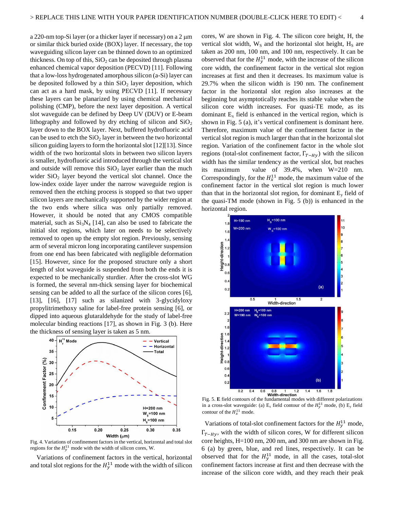a 220-nm top-Si layer (or a thicker layer if necessary) on a 2  $\mu$ m or similar thick buried oxide (BOX) layer. If necessary, the top waveguiding silicon layer can be thinned down to an optimized thickness. On top of this,  $SiO<sub>2</sub>$  can be deposited through plasma enhanced chemical vapor deposition (PECVD) [11]. Following that a low-loss hydrogenated amorphous silicon (a-Si) layer can be deposited followed by a thin  $SiO<sub>2</sub>$  layer deposition, which can act as a hard mask, by using PECVD [11]. If necessary these layers can be planarized by using chemical mechanical polishing (CMP), before the next layer deposition. A vertical slot waveguide can be defined by Deep UV (DUV) or E-beam lithography and followed by dry etching of silicon and  $SiO<sub>2</sub>$ layer down to the BOX layer. Next, buffered hydrofluoric acid can be used to etch the  $SiO<sub>2</sub>$  layer in between the two horizontal silicon guiding layers to form the horizontal slot [12][13]. Since width of the two horizontal slots in between two silicon layers is smaller, hydrofluoric acid introduced through the vertical slot and outside will remove this  $SiO<sub>2</sub>$  layer earlier than the much wider  $SiO<sub>2</sub>$  layer beyond the vertical slot channel. Once the low-index oxide layer under the narrow waveguide region is removed then the etching process is stopped so that two upper silicon layers are mechanically supported by the wider region at the two ends where silica was only partially removed. However, it should be noted that any CMOS compatible material, such as  $Si<sub>3</sub>N<sub>4</sub>$  [14], can also be used to fabricate the initial slot regions, which later on needs to be selectively removed to open up the empty slot region. Previously, sensing arm of several micron long incorporating cantilever suspension from one end has been fabricated with negligible deformation [15]. However, since for the proposed structure only a short length of slot waveguide is suspended from both the ends it is expected to be mechanically sturdier. After the cross-slot WG is formed, the several nm-thick sensing layer for biochemical sensing can be added to all the surface of the silicon cores [6], [13], [16], [17] such as silanized with 3-glycidyloxy propylitrimethoxy saline for label-free protein sensing [6], or dipped into aqueous glutaraldehyde for the study of label-free molecular binding reactions [17], as shown in Fig. 3 (b). Here the thickness of sensing layer is taken as 5 nm.



Fig. 4. Variations of confinement factors in the vertical, horizontal and total slot regions for the  $H_v^{11}$  mode with the width of silicon cores, W.

Variations of confinement factors in the vertical, horizontal and total slot regions for the  $H_v^{11}$  mode with the width of silicon cores, W are shown in Fig. 4. The silicon core height, H, the vertical slot width,  $W<sub>S</sub>$  and the horizontal slot height,  $H<sub>S</sub>$  are taken as 200 nm, 100 nm, and 100 nm, respectively. It can be observed that for the  $H_v^{11}$  mode, with the increase of the silicon core width, the confinement factor in the vertical slot region increases at first and then it decreases. Its maximum value is 29.7% when the silicon width is 190 nm. The confinement factor in the horizontal slot region also increases at the beginning but asymptotically reaches its stable value when the silicon core width increases. For quasi-TE mode, as its dominant  $E<sub>x</sub>$  field is enhanced in the vertical region, which is shown in Fig. 5 (a), it's vertical confinement is dominant here. Therefore, maximum value of the confinement factor in the vertical slot region is much larger than that in the horizontal slot region. Variation of the confinement factor in the whole slot regions (total-slot confinement factor,  $\Gamma_{T-H\nu}$ ) with the silicon width has the similar tendency as the vertical slot, but reaches its maximum value of 39.4%, when W=210 nm. Correspondingly, for the  $H^{11}_x$  mode, the maximum value of the confinement factor in the vertical slot region is much lower than that in the horizontal slot region, for dominant  $E_y$  field of the quasi-TM mode (shown in Fig. 5 (b)) is enhanced in the horizontal region.



Fig. 5. **E** field contours of the fundamental modes with different polarizations in a cross-slot waveguide: (a)  $E_x$  field contour of the  $H_v^{11}$  mode, (b)  $E_y$  field contour of the  $H^{11}_x$  mode.

Variations of total-slot confinement factors for the  $H_v^{11}$  mode,  $\Gamma_{T-Hy}$ , with the width of silicon cores, W for different silicon core heights, H=100 nm, 200 nm, and 300 nm are shown in Fig. 6 (a) by green, blue, and red lines, respectively. It can be observed that for the  $H_v^{11}$  mode, in all the cases, total-slot confinement factors increase at first and then decrease with the increase of the silicon core width, and they reach their peak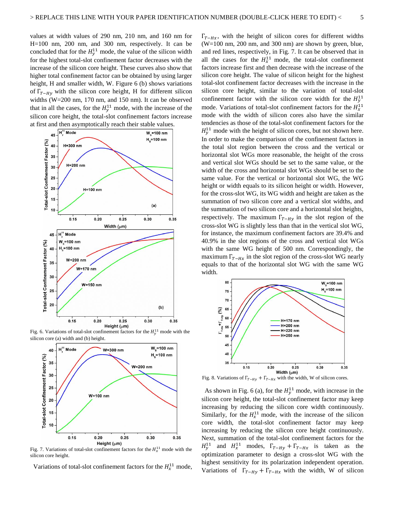values at width values of 290 nm, 210 nm, and 160 nm for H=100 nm, 200 nm, and 300 nm, respectively. It can be concluded that for the  $H_v^{11}$  mode, the value of the silicon width for the highest total-slot confinement factor decreases with the increase of the silicon core height. These curves also show that higher total confinement factor can be obtained by using larger height, H and smaller width, W. Figure 6 (b) shows variations of  $\Gamma_{T-Hy}$  with the silicon core height, H for different silicon widths (W=200 nm, 170 nm, and 150 nm). It can be observed that in all the cases, for the  $H_v^{11}$  mode, with the increase of the silicon core height, the total-slot confinement factors increase at first and then asymptotically reach their stable values.



Fig. 6. Variations of total-slot confinement factors for the  $H_v^{11}$  mode with the silicon core (a) width and (b) height.



Fig. 7. Variations of total-slot confinement factors for the  $H^{11}_x$  mode with the silicon core height.

Variations of total-slot confinement factors for the  $H_{x}^{11}$  mode,

 $\Gamma_{T-Hx}$ , with the height of silicon cores for different widths (W=100 nm, 200 nm, and 300 nm) are shown by green, blue, and red lines, respectively, in Fig. 7. It can be observed that in all the cases for the  $H^{11}_x$  mode, the total-slot confinement factors increase first and then decrease with the increase of the silicon core height. The value of silicon height for the highest total-slot confinement factor decreases with the increase in the silicon core height, similar to the [variation](http://dict.youdao.com/search?q=variation&keyfrom=E2Ctranslation) of total-slot confinement factor with the silicon core width for the  $H_v^1$ mode. Variations of total-slot confinement factors for the  $H_x^1$ mode with the width of silicon cores also have the similar tendencies as those of the total-slot confinement factors for the  $H_v^{11}$  mode with the height of silicon cores, but not shown here. In order to make the comparison of the confinement factors in the total slot region between the cross and the vertical or horizontal slot WGs more reasonable, the height of the cross and vertical slot WGs should be set to the same value, or the width of the cross and horizontal slot WGs should be set to the same value. For the vertical or horizontal slot WG, the WG height or width equals to its silicon height or width. However, for the cross-slot WG, its WG width and height are taken as the summation of two silicon core and a vertical slot widths, and the summation of two silicon core and a horizontal slot heights, respectively. The maximum  $\Gamma_{T-Hy}$  in the slot region of the cross-slot WG is slightly less than that in the vertical slot WG, for instance, the maximum confinement factors are 39.4% and 40.9% in the slot regions of the cross and vertical slot WGs with the same WG height of 500 nm. Correspondingly, the maximum  $\Gamma_{T-Hx}$  in the slot region of the cross-slot WG nearly equals to that of the horizontal slot WG with the same WG width.



Fig. 8. Variations of  $\Gamma_{T-Hy} + \Gamma_{T-Hx}$  with the width, W of silicon cores.

As shown in Fig. 6 (a), for the  $H_v^{11}$  mode, with increase in the silicon core height, the total-slot confinement factor may keep increasing by reducing the silicon core width continuously. Similarly, for the  $H^{11}_x$  mode, with the increase of the silicon core width, the total-slot confinement factor may keep increasing by reducing the silicon core height continuously. Next, summation of the total-slot confinement factors for the  $H_v^{11}$  and  $H_x^{11}$  modes,  $\Gamma_{T-Hv} + \Gamma_{T-Hx}$  is taken as the optimization parameter to design a cross-slot WG with the highest sensitivity for its polarization independent operation. Variations of  $\Gamma_{T-Hy} + \Gamma_{T-Hx}$  with the width, W of silicon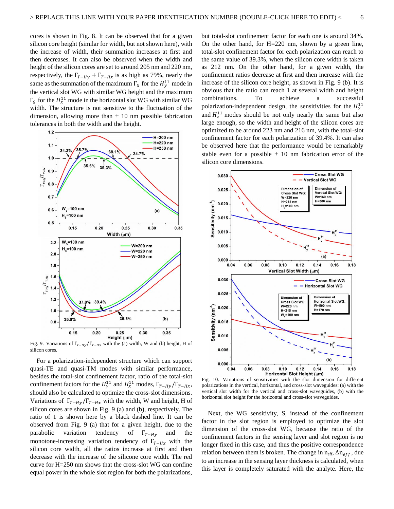cores is shown in Fig. 8. It can be observed that for a given silicon core height (similar for width, but not shown here), with the increase of width, their summation increases at first and then decreases. It can also be observed when the width and height of the silicon cores are set to around 205 nm and 220 nm, respectively, the  $\Gamma_{T-Hy} + \Gamma_{T-Hx}$  is as high as 79%, nearly the same as the summation of the maximum  $\Gamma_G$  for the  $H_v^{11}$  mode in the vertical slot WG with similar WG height and the maximum  $\Gamma$ <sup>6</sup> for the  $H^{11}_x$  mode in the horizontal slot WG with similar WG width. The structure is not sensitive to the fluctuation of the dimension, allowing more than  $\pm$  10 nm possible fabrication tolerances in both the width and the height.



Fig. 9. Variations of  $\Gamma_{T-Hy}/\Gamma_{T-Hx}$  with the (a) width, W and (b) height, H of silicon cores.

For a polarization-independent structure which can support quasi-TE and quasi-TM modes with similar performance, besides the total-slot confinement factor, ratio of the total-slot confinement factors for the  $H_v^{11}$  and  $H_x^{11}$  modes,  $\Gamma_{T-Hv}/\Gamma_{T-Hx}$ , should also be calculated to optimize the cross-slot dimensions. Variations of  $\Gamma_{T-Hy}/\Gamma_{T-Hx}$  with the width, W and height, H of silicon cores are shown in Fig. 9 (a) and (b), respectively. The ratio of 1 is shown here by a black dashed line. It can be observed from Fig. 9 (a) that for a given height, due to the parabolic variation tendency of  $\Gamma_{T-Hy}$  and the monotone-increasing variation tendency of  $\Gamma_{T-Hx}$  with the silicon core width, all the ratios increase at first and then decrease with the increase of the silicone core width. The red curve for H=250 nm shows that the cross-slot WG can confine equal power in the whole slot region for both the polarizations,

but total-slot confinement factor for each one is around 34%. On the other hand, for  $H=220$  nm, shown by a green line, total-slot confinement factor for each polarization can reach to the same value of 39.3%, when the silicon core width is taken as 212 nm. On the other hand, for a given width, the confinement ratios decrease at first and then increase with the increase of the silicon core height, as shown in Fig. 9 (b). It is obvious that the ratio can reach 1 at several width and height combinations. To achieve a successful polarization-independent design, the sensitivities for the  $H_v^1$ and  $H_X^{11}$  modes should be not only nearly the same but also large enough, so the width and height of the silicon cores are optimized to be around 223 nm and 216 nm, with the total-slot confinement factor for each polarization of 39.4%. It can also be observed here that the performance would be remarkably stable even for a possible  $\pm$  10 nm fabrication error of the silicon core dimensions.



Fig. 10. Variations of sensitivities with the slot dimension for different polarizations in the vertical, horizontal, and cross-slot waveguides: (a) with the vertical slot width for the vertical and cross-slot waveguides, (b) with the horizontal slot height for the horizontal and cross-slot waveguides.

Next, the WG sensitivity, S, instead of the confinement factor in the slot region is employed to optimize the slot dimension of the cross-slot WG, because the ratio of the confinement factors in the sensing layer and slot region is no longer fixed in this case, and thus the positive correspondence relation between them is broken. The change in  $n_{\text{eff}}$ ,  $\Delta n_{\text{eff}}$ , due to an increase in the sensing layer thickness is calculated, when this layer is completely saturated with the analyte. Here, the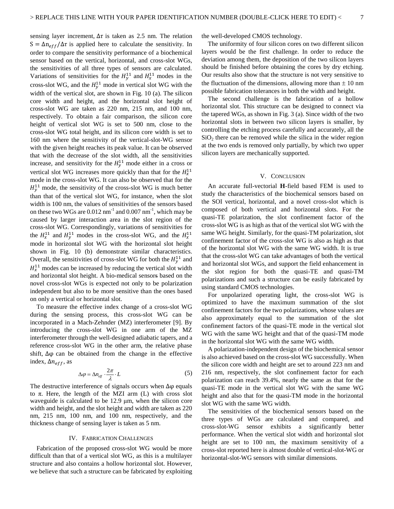sensing layer increment,  $\Delta \tau$  is taken as 2.5 nm. The relation  $S = \Delta n_{eff} / \Delta \tau$  is applied here to calculate the sensitivity. In order to compare the sensitivity performance of a biochemical sensor based on the vertical, horizontal, and cross-slot WGs, the sensitivities of all three types of sensors are calculated. Variations of sensitivities for the  $H_v^{11}$  and  $H_x^{11}$  modes in the cross-slot WG, and the  $H_v^{11}$  mode in vertical slot WG with the width of the vertical slot, are shown in Fig. 10 (a). The silicon core width and height, and the horizontal slot height of cross-slot WG are taken as 220 nm, 215 nm, and 100 nm, respectively. To obtain a fair comparison, the silicon core height of vertical slot WG is set to 500 nm, close to the cross-slot WG total height, and its silicon core width is set to 160 nm where the sensitivity of the vertical-slot-WG sensor with the given height reaches its peak value. It can be observed that with the decrease of the slot width, all the sensitivities increase, and sensitivity for the  $H_v^{11}$  mode either in a cross or vertical slot WG increases more quickly than that for the  $H_x^1$ mode in the cross-slot WG. It can also be observed that for the  $H_v^{11}$  mode, the sensitivity of the cross-slot WG is much better than that of the vertical slot WG, for instance, when the slot width is 100 nm, the values of sensitivities of the sensors based on these two WGs are  $0.012$  nm<sup>-1</sup> and  $0.007$  nm<sup>-1</sup>, which may be caused by larger interaction area in the slot region of the cross-slot WG. Correspondingly, variations of sensitivities for the  $H_{\rm x}^{11}$  and  $H_{\rm y}^{11}$  modes in the cross-slot WG, and the  $H_{\rm x}^{11}$ mode in horizontal slot WG with the horizontal slot height shown in Fig. 10 (b) demonstrate similar characteristics. Overall, the sensitivities of cross-slot WG for both the  $H_v^{11}$  and  $H<sub>x</sub><sup>11</sup>$  modes can be increased by reducing the vertical slot width and horizontal slot height. A bio-medical sensors based on the novel cross-slot WGs is expected not only to be polarization independent but also to be more sensitive than the ones based on only a vertical or horizontal slot.

To measure the effective index change of a cross-slot WG during the sensing process, this cross-slot WG can be incorporated in a Mach-Zehnder (MZ) interferometer [9]. By introducing the cross-slot WG in one arm of the MZ interferometer through the well-designed [adiabatic tapers](http://ieeexplore.ieee.org/xpls/abs_all.jsp?arnumber=6054005), and a reference cross-slot WG in the other arm, the relative phase shift,  $\Delta \varphi$  can be obtained from the change in the effective index,  $\Delta n_{eff}$ , as

$$
\Delta \varphi = \Delta n_{\text{eff}} \cdot \frac{2\pi}{\lambda} \cdot L \tag{5}
$$

The destructive interference of signals occurs when  $\Delta \varphi$  equals to π. Here, the length of the MZI arm (L) with cross slot waveguide is calculated to be 12.9 μm, when the silicon core width and height, and the slot height and width are taken as 220 nm, 215 nm, 100 nm, and 100 nm, respectively, and the thickness change of sensing layer is taken as 5 nm.

#### IV. FABRICATION CHALLENGES

Fabrication of the proposed cross-slot WG would be more difficult than that of a vertical slot WG, as this is a multilayer structure and also contains a hollow horizontal slot. However, we believe that such a structure can be fabricated by exploiting the well-developed CMOS technology.

The uniformity of four silicon cores on two different silicon layers would be the first challenge. In order to reduce the deviation among them, the deposition of the two silicon layers should be finished before obtaining the cores by dry etching. Our results also show that the structure is not very sensitive to the fluctuation of the dimensions, allowing more than  $\pm 10$  nm possible fabrication tolerances in both the width and height.

The second challenge is the fabrication of a hollow horizontal slot. This structure can be designed to connect via the tapered WGs, as shown in Fig. 3 (a). Since width of the two horizontal slots in between two silicon layers is smaller, by controlling the etching process carefully and accurately, all the  $SiO<sub>2</sub>$  there can be removed while the silica in the wider region at the two ends is removed only partially, by which two upper silicon layers are mechanically supported.

#### V. CONCLUSION

An accurate full-vectorial **H**-field based FEM is used to study the characteristics of the biochemical sensors based on the SOI vertical, horizontal, and a novel cross-slot which is composed of both vertical and horizontal slots. For the quasi-TE polarization, the slot confinement factor of the cross-slot WG is as high as that of the vertical slot WG with the same WG height. Similarly, for the quasi-TM polarization, slot confinement factor of the cross-slot WG is also as high as that of the horizontal slot WG with the same WG width. It is true that the cross-slot WG can take advantages of both the vertical and horizontal slot WGs, and support the field enhancement in the slot region for both the quasi-TE and quasi-TM polarizations and such a structure can be easily fabricated by using standard CMOS technologies.

For unpolarized operating light, the cross-slot WG is optimized to have the maximum summation of the slot confinement factors for the two polarizations, whose values are also approximately equal to the summation of the slot confinement factors of the quasi-TE mode in the vertical slot WG with the same WG height and that of the quasi-TM mode in the horizontal slot WG with the same WG width.

A polarization-independent design of the biochemical sensor is also achieved based on the cross-slot WG successfully. When the silicon core width and height are set to around 223 nm and 216 nm, respectively, the slot confinement factor for each polarization can reach 39.4%, nearly the same as that for the quasi-TE mode in the vertical slot WG with the same WG height and also that for the quasi-TM mode in the horizontal slot WG with the same WG width.

The sensitivities of the biochemical sensors based on the three types of WGs are calculated and compared, and cross-slot-WG sensor exhibits a significantly better performance. When the vertical slot width and horizontal slot height are set to 100 nm, the maximum sensitivity of a cross-slot reported here is almost double of vertical-slot-WG or horizontal-slot-WG sensors with similar dimensions.